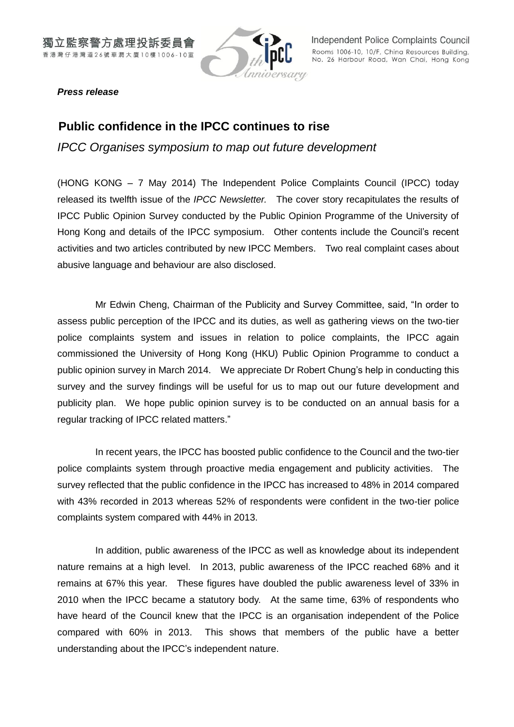

*Press release*

# **Public confidence in the IPCC continues to rise**

*IPCC Organises symposium to map out future development*

(HONG KONG – 7 May 2014) The Independent Police Complaints Council (IPCC) today released its twelfth issue of the *IPCC Newsletter.* The cover story recapitulates the results of IPCC Public Opinion Survey conducted by the Public Opinion Programme of the University of Hong Kong and details of the IPCC symposium. Other contents include the Council's recent activities and two articles contributed by new IPCC Members. Two real complaint cases about abusive language and behaviour are also disclosed.

Mr Edwin Cheng, Chairman of the Publicity and Survey Committee, said, "In order to assess public perception of the IPCC and its duties, as well as gathering views on the two-tier police complaints system and issues in relation to police complaints, the IPCC again commissioned the University of Hong Kong (HKU) Public Opinion Programme to conduct a public opinion survey in March 2014. We appreciate Dr Robert Chung's help in conducting this survey and the survey findings will be useful for us to map out our future development and publicity plan. We hope public opinion survey is to be conducted on an annual basis for a regular tracking of IPCC related matters."

In recent years, the IPCC has boosted public confidence to the Council and the two-tier police complaints system through proactive media engagement and publicity activities. The survey reflected that the public confidence in the IPCC has increased to 48% in 2014 compared with 43% recorded in 2013 whereas 52% of respondents were confident in the two-tier police complaints system compared with 44% in 2013.

In addition, public awareness of the IPCC as well as knowledge about its independent nature remains at a high level. In 2013, public awareness of the IPCC reached 68% and it remains at 67% this year. These figures have doubled the public awareness level of 33% in 2010 when the IPCC became a statutory body. At the same time, 63% of respondents who have heard of the Council knew that the IPCC is an organisation independent of the Police compared with 60% in 2013. This shows that members of the public have a better understanding about the IPCC's independent nature.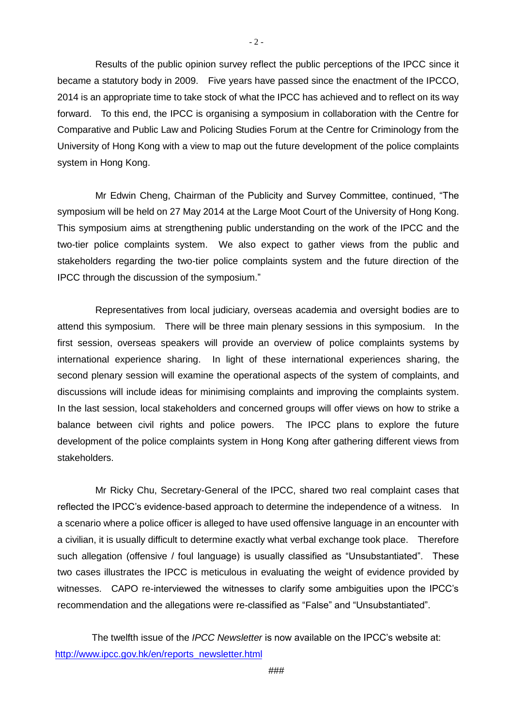Results of the public opinion survey reflect the public perceptions of the IPCC since it became a statutory body in 2009. Five years have passed since the enactment of the IPCCO, 2014 is an appropriate time to take stock of what the IPCC has achieved and to reflect on its way forward. To this end, the IPCC is organising a symposium in collaboration with the Centre for Comparative and Public Law and Policing Studies Forum at the Centre for Criminology from the University of Hong Kong with a view to map out the future development of the police complaints system in Hong Kong.

Mr Edwin Cheng, Chairman of the Publicity and Survey Committee, continued, "The symposium will be held on 27 May 2014 at the Large Moot Court of the University of Hong Kong. This symposium aims at strengthening public understanding on the work of the IPCC and the two-tier police complaints system. We also expect to gather views from the public and stakeholders regarding the two-tier police complaints system and the future direction of the IPCC through the discussion of the symposium."

Representatives from local judiciary, overseas academia and oversight bodies are to attend this symposium. There will be three main plenary sessions in this symposium. In the first session, overseas speakers will provide an overview of police complaints systems by international experience sharing. In light of these international experiences sharing, the second plenary session will examine the operational aspects of the system of complaints, and discussions will include ideas for minimising complaints and improving the complaints system. In the last session, local stakeholders and concerned groups will offer views on how to strike a balance between civil rights and police powers. The IPCC plans to explore the future development of the police complaints system in Hong Kong after gathering different views from stakeholders.

Mr Ricky Chu, Secretary-General of the IPCC, shared two real complaint cases that reflected the IPCC's evidence-based approach to determine the independence of a witness. In a scenario where a police officer is alleged to have used offensive language in an encounter with a civilian, it is usually difficult to determine exactly what verbal exchange took place. Therefore such allegation (offensive / foul language) is usually classified as "Unsubstantiated". These two cases illustrates the IPCC is meticulous in evaluating the weight of evidence provided by witnesses. CAPO re-interviewed the witnesses to clarify some ambiguities upon the IPCC's recommendation and the allegations were re-classified as "False" and "Unsubstantiated".

The twelfth issue of the *IPCC Newsletter* is now available on the IPCC's website at: [http://www.ipcc.gov.hk/en/reports\\_newsletter.html](http://www.ipcc.gov.hk/en/reports_newsletter.html)

- 2 -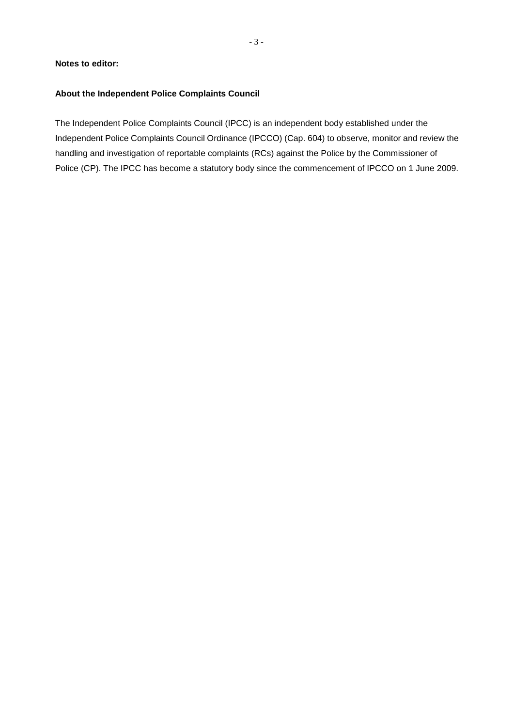# **Notes to editor:**

# **About the Independent Police Complaints Council**

The Independent Police Complaints Council (IPCC) is an independent body established under the Independent Police Complaints Council Ordinance (IPCCO) (Cap. 604) to observe, monitor and review the handling and investigation of reportable complaints (RCs) against the Police by the Commissioner of Police (CP). The IPCC has become a statutory body since the commencement of IPCCO on 1 June 2009.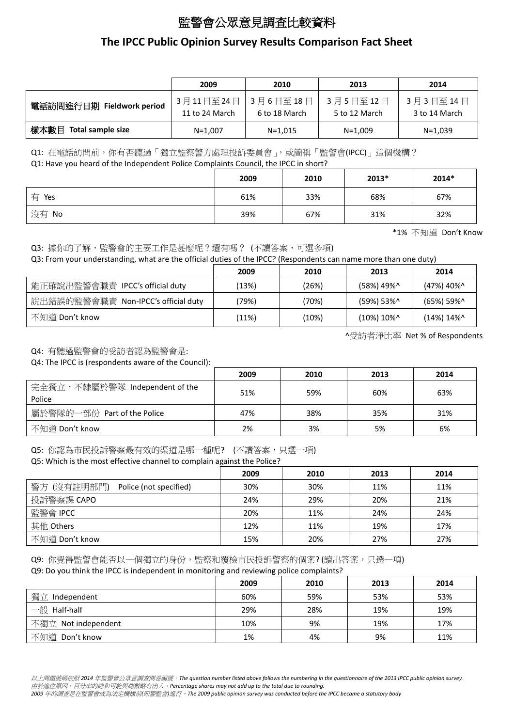# 監警會公眾意見調查比較資料

# **The IPCC Public Opinion Survey Results Comparison Fact Sheet**

|                           | 2009                         | 2010                      | 2013                      | 2014                      |
|---------------------------|------------------------------|---------------------------|---------------------------|---------------------------|
| 電話訪問進行日期 Fieldwork period | 3月11日至24日 <br>11 to 24 March | 3月6日至18日<br>6 to 18 March | 3月5日至12日<br>5 to 12 March | 3月3日至14日<br>3 to 14 March |
| 樣本數目 Total sample size    | $N = 1,007$                  | $N = 1,015$               | $N = 1,009$               | $N=1,039$                 |

Q1: 在電話訪問前, 你有否聽過「獨立監察警方處理投訴委員會」, 或簡稱「監警會(IPCC)」這個機構? Q1: Have you heard of the Independent Police Complaints Council, the IPCC in short?

|       | 2009 | 2010 | 2013* | 2014* |
|-------|------|------|-------|-------|
| 有 Yes | 61%  | 33%  | 68%   | 67%   |
| 沒有 No | 39%  | 67%  | 31%   | 32%   |

\*1% 不知道 Don't Know

Q3: 據你的了解,監警會的主要工作是甚麼呢?還有嗎? (不讀答案,可選多項)

| Q3: From your understanding, what are the official duties of the IPCC? (Respondents can name more than one duty) |  |  |
|------------------------------------------------------------------------------------------------------------------|--|--|
|                                                                                                                  |  |  |

|                                     | 2009  | 2010  | 2013           | 2014               |
|-------------------------------------|-------|-------|----------------|--------------------|
| 能正確說出監警會職責 IPCC's official duty     | (13%) | (26%) | (58%) 49%      | $(47%)$ 40% $\sim$ |
| 說出錯誤的監警會職責 Non-IPCC's official duty | (79%) | (70%) | $(59\%) 53\%^$ | $(65\%) 59\%^$     |
| 不知道 Don't know                      | (11%) | (10%) | (10%) 10%^     | $(14\%) 14\%$      |

^受訪者淨比率 Net % of Respondents

Q4: 有聽過監警會的受訪者認為監警會是:

Q4: The IPCC is (respondents aware of the Council):

|                                | 2009 | 2010 | 2013 | 2014 |
|--------------------------------|------|------|------|------|
| 完全獨立,不隸屬於警隊 Independent of the | 51%  | 59%  | 60%  | 63%  |
| Police                         |      |      |      |      |
| 屬於警隊的一部份 Part of the Police    | 47%  | 38%  | 35%  | 31%  |
| 不知道 Don't know                 | 2%   | 3%   | 5%   | 6%   |

## Q5: 你認為市民投訴警察最有效的渠道是哪一種呢? (不讀答案,只選一項)

Q5: Which is the most effective channel to complain against the Police?

|                                      | 2009 | 2010 | 2013 | 2014 |
|--------------------------------------|------|------|------|------|
| 警方(沒有註明部門)<br>Police (not specified) | 30%  | 30%  | 11%  | 11%  |
| 投訴警察課 CAPO                           | 24%  | 29%  | 20%  | 21%  |
| 監警會 IPCC                             | 20%  | 11%  | 24%  | 24%  |
| 其他 Others                            | 12%  | 11%  | 19%  | 17%  |
| 不知道 Don't know                       | 15%  | 20%  | 27%  | 27%  |

Q9: 你覺得監警會能否以一個獨立的身份,監察和覆檢市民投訴警察的個案? (讀出答案,只選一項)

Q9: Do you think the IPCC is independent in monitoring and reviewing police complaints?

|                     | 2009 | 2010 | 2013 | 2014 |
|---------------------|------|------|------|------|
| 獨立 Independent      | 60%  | 59%  | 53%  | 53%  |
| 一般 Half-half        | 29%  | 28%  | 19%  | 19%  |
| 不獨立 Not independent | 10%  | 9%   | 19%  | 17%  |
| 不知道 Don't know      | 1%   | 4%   | 9%   | 11%  |